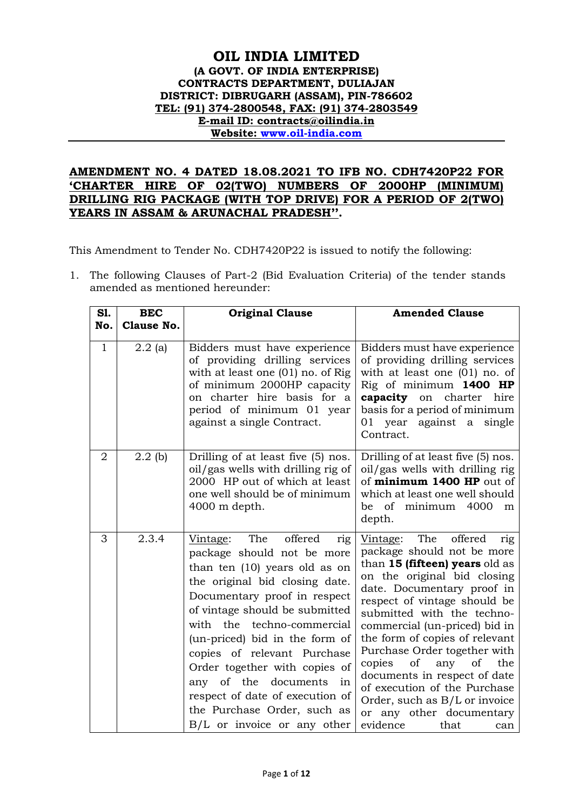# **OIL INDIA LIMITED (A GOVT. OF INDIA ENTERPRISE) CONTRACTS DEPARTMENT, DULIAJAN DISTRICT: DIBRUGARH (ASSAM), PIN-786602 TEL: (91) 374-2800548, FAX: (91) 374-2803549 E-mail ID: contracts@oilindia.in Website: [www.oil-india.com](http://www.oil-india.com/)**

# **AMENDMENT NO. 4 DATED 18.08.2021 TO IFB NO. CDH7420P22 FOR 'CHARTER HIRE OF 02(TWO) NUMBERS OF 2000HP (MINIMUM) DRILLING RIG PACKAGE (WITH TOP DRIVE) FOR A PERIOD OF 2(TWO) YEARS IN ASSAM & ARUNACHAL PRADESH''.**

This Amendment to Tender No. CDH7420P22 is issued to notify the following:

1. The following Clauses of Part-2 (Bid Evaluation Criteria) of the tender stands amended as mentioned hereunder:

| <b>S1.</b>     | <b>BEC</b>        | <b>Original Clause</b>                                                                                                                                                                                                                                                                                                                                                                                                                                              | <b>Amended Clause</b>                                                                                                                                                                                                                                                                                                                                                                                                                                                                                                       |
|----------------|-------------------|---------------------------------------------------------------------------------------------------------------------------------------------------------------------------------------------------------------------------------------------------------------------------------------------------------------------------------------------------------------------------------------------------------------------------------------------------------------------|-----------------------------------------------------------------------------------------------------------------------------------------------------------------------------------------------------------------------------------------------------------------------------------------------------------------------------------------------------------------------------------------------------------------------------------------------------------------------------------------------------------------------------|
| No.            | <b>Clause No.</b> |                                                                                                                                                                                                                                                                                                                                                                                                                                                                     |                                                                                                                                                                                                                                                                                                                                                                                                                                                                                                                             |
| $\mathbf{1}$   | $2.2$ (a)         | Bidders must have experience<br>of providing drilling services<br>with at least one $(01)$ no. of Rig<br>of minimum 2000HP capacity<br>on charter hire basis for a<br>period of minimum 01 year<br>against a single Contract.                                                                                                                                                                                                                                       | Bidders must have experience<br>of providing drilling services<br>with at least one $(01)$ no. of<br>Rig of minimum 1400 HP<br><b>capacity</b> on charter hire<br>basis for a period of minimum<br>01 year against a<br>single<br>Contract.                                                                                                                                                                                                                                                                                 |
| $\overline{2}$ | $2.2$ (b)         | Drilling of at least five (5) nos.<br>oil/gas wells with drilling rig of<br>2000 HP out of which at least<br>one well should be of minimum<br>4000 m depth.                                                                                                                                                                                                                                                                                                         | Drilling of at least five (5) nos.<br>oil/gas wells with drilling rig<br>of minimum 1400 HP out of<br>which at least one well should<br>be of minimum 4000<br>m<br>depth.                                                                                                                                                                                                                                                                                                                                                   |
| 3              | 2.3.4             | The<br>offered<br>Vintage:<br>rig<br>package should not be more<br>than ten (10) years old as on<br>the original bid closing date.<br>Documentary proof in respect<br>of vintage should be submitted<br>with the techno-commercial<br>(un-priced) bid in the form of<br>copies of relevant Purchase<br>Order together with copies of<br>of the documents in<br>any<br>respect of date of execution of<br>the Purchase Order, such as<br>B/L or invoice or any other | The<br>offered<br>Vintage:<br>rig<br>package should not be more<br>than 15 (fifteen) years old as<br>on the original bid closing<br>date. Documentary proof in<br>respect of vintage should be<br>submitted with the techno-<br>commercial (un-priced) bid in<br>the form of copies of relevant<br>Purchase Order together with<br>copies<br>any<br>the<br>οf<br>of<br>documents in respect of date<br>of execution of the Purchase<br>Order, such as B/L or invoice<br>or any other documentary<br>evidence<br>that<br>can |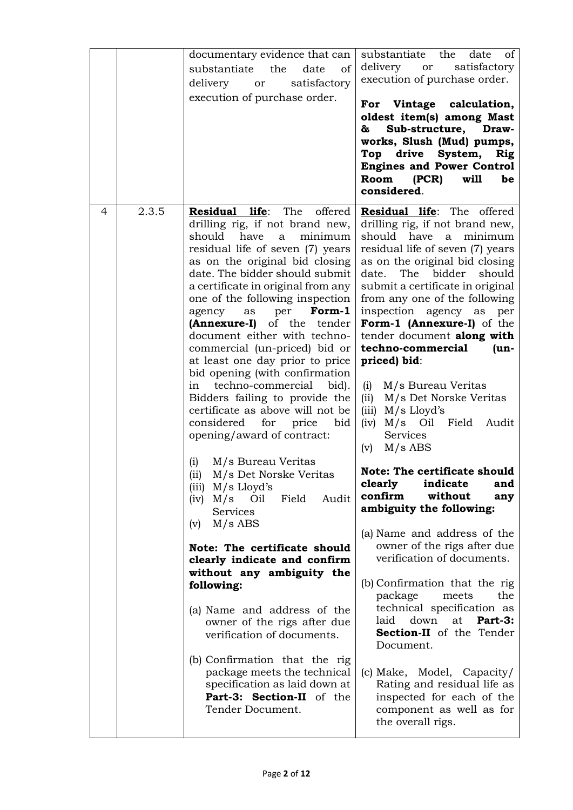|   |       | documentary evidence that can<br>substantiate<br>the<br>date<br>of<br>delivery or satisfactory<br>execution of purchase order.                                                                                                                                                                                                                                                                                                                                                                                                                                                                                                                                                                                                                                                                                                                                                                                                                                                                                                                                                                                                                                             | substantiate the<br>date<br>of<br>satisfactory<br>delivery or<br>execution of purchase order.<br>For Vintage calculation,<br>oldest item(s) among Mast<br>Sub-structure, Draw-<br>&<br>works, Slush (Mud) pumps,<br>Top drive System, Rig<br><b>Engines and Power Control</b><br>Room (PCR)<br>will<br>be<br>considered.                                                                                                                                                                                                                                                                                                                                                                                                                                                                                                                                                                                                                                                                                                                                                                                     |
|---|-------|----------------------------------------------------------------------------------------------------------------------------------------------------------------------------------------------------------------------------------------------------------------------------------------------------------------------------------------------------------------------------------------------------------------------------------------------------------------------------------------------------------------------------------------------------------------------------------------------------------------------------------------------------------------------------------------------------------------------------------------------------------------------------------------------------------------------------------------------------------------------------------------------------------------------------------------------------------------------------------------------------------------------------------------------------------------------------------------------------------------------------------------------------------------------------|--------------------------------------------------------------------------------------------------------------------------------------------------------------------------------------------------------------------------------------------------------------------------------------------------------------------------------------------------------------------------------------------------------------------------------------------------------------------------------------------------------------------------------------------------------------------------------------------------------------------------------------------------------------------------------------------------------------------------------------------------------------------------------------------------------------------------------------------------------------------------------------------------------------------------------------------------------------------------------------------------------------------------------------------------------------------------------------------------------------|
| 4 | 2.3.5 | Residual life: The offered<br>drilling rig, if not brand new,<br>should have<br>a<br>minimum<br>residual life of seven (7) years<br>as on the original bid closing<br>date. The bidder should submit<br>a certificate in original from any<br>one of the following inspection<br>per<br>Form-1<br>agency<br>as<br>(Annexure-I) of the tender<br>document either with techno-<br>commercial (un-priced) bid or<br>at least one day prior to price<br>bid opening (with confirmation<br>in techno-commercial bid).<br>Bidders failing to provide the<br>certificate as above will not be<br>considered<br>for price bid<br>opening/award of contract:<br>M/s Bureau Veritas<br>(i)<br>(ii) M/s Det Norske Veritas<br>(iii) $M/s$ Lloyd's<br>$(iv)$ M/s Oil<br>Field<br>Audit<br><b>Services</b><br>$M/s$ ABS<br>(v)<br>Note: The certificate should<br>clearly indicate and confirm<br>without any ambiguity the<br>following:<br>(a) Name and address of the<br>owner of the rigs after due<br>verification of documents.<br>(b) Confirmation that the rig<br>package meets the technical<br>specification as laid down at<br>Part-3: Section-II of the<br>Tender Document. | Residual life: The offered<br>drilling rig, if not brand new,<br>should have a minimum<br>residual life of seven (7) years<br>as on the original bid closing<br>The<br>bidder<br>should<br>date.<br>submit a certificate in original<br>from any one of the following<br>inspection agency as per<br>Form-1 (Annexure-I) of the<br>tender document along with<br>techno-commercial<br>$(un -$<br>priced) bid:<br>(i)<br>M/s Bureau Veritas<br>M/s Det Norske Veritas<br>(ii)<br>$M/s$ Lloyd's<br>(iii)<br>(iv)<br>M/s Oil Field Audit<br><b>Services</b><br>$M/s$ ABS<br>(v)<br><b>Note: The certificate should</b><br>indicate<br>clearly<br>and<br>confirm<br>without<br>any<br>ambiguity the following:<br>(a) Name and address of the<br>owner of the rigs after due<br>verification of documents.<br>(b) Confirmation that the rig<br>package<br>the<br>meets<br>technical specification as<br>laid down at Part-3:<br>Section-II of the Tender<br>Document.<br>(c) Make, Model, Capacity/<br>Rating and residual life as<br>inspected for each of the<br>component as well as for<br>the overall rigs. |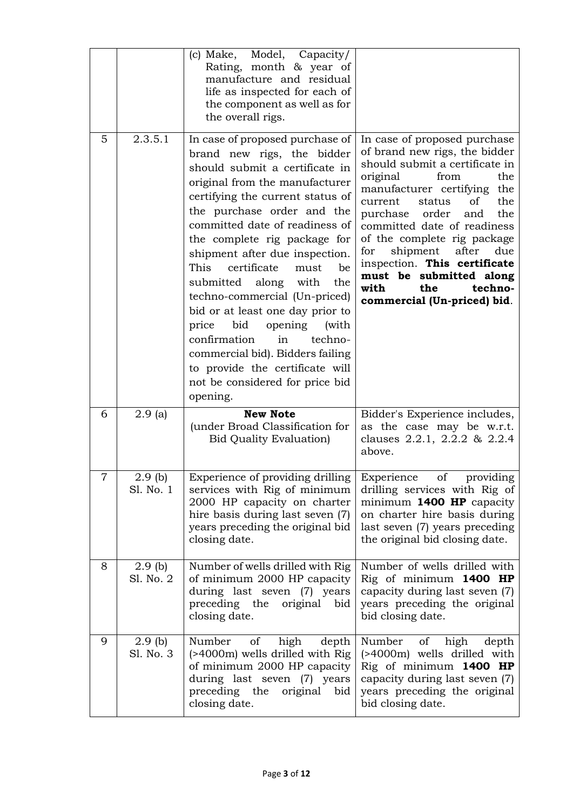|   |                        | Model, Capacity/<br>(c) Make,<br>Rating, month & year of<br>manufacture and residual<br>life as inspected for each of<br>the component as well as for<br>the overall rigs.                                                                                                                                                                                                                                                                                                                                                                                                                                                                  |                                                                                                                                                                                                                                                                                                                                                                                                                                                  |
|---|------------------------|---------------------------------------------------------------------------------------------------------------------------------------------------------------------------------------------------------------------------------------------------------------------------------------------------------------------------------------------------------------------------------------------------------------------------------------------------------------------------------------------------------------------------------------------------------------------------------------------------------------------------------------------|--------------------------------------------------------------------------------------------------------------------------------------------------------------------------------------------------------------------------------------------------------------------------------------------------------------------------------------------------------------------------------------------------------------------------------------------------|
| 5 | 2.3.5.1                | In case of proposed purchase of<br>brand new rigs, the bidder<br>should submit a certificate in<br>original from the manufacturer<br>certifying the current status of<br>the purchase order and the<br>committed date of readiness of<br>the complete rig package for<br>shipment after due inspection.<br>This<br>certificate<br>must<br>be<br>submitted along with<br>the<br>techno-commercial (Un-priced)<br>bid or at least one day prior to<br>bid<br>opening<br>price<br>(with<br>confirmation<br>in<br>techno-<br>commercial bid). Bidders failing<br>to provide the certificate will<br>not be considered for price bid<br>opening. | In case of proposed purchase<br>of brand new rigs, the bidder<br>should submit a certificate in<br>original<br>the<br>from<br>manufacturer certifying the<br>the<br>current<br>status<br>of<br>purchase order<br>the<br>and<br>committed date of readiness<br>of the complete rig package<br>after<br>shipment<br>for<br>due<br>inspection. This certificate<br>must be submitted along<br>techno-<br>with<br>the<br>commercial (Un-priced) bid. |
| 6 | 2.9(a)                 | <b>New Note</b><br>(under Broad Classification for<br><b>Bid Quality Evaluation</b> )                                                                                                                                                                                                                                                                                                                                                                                                                                                                                                                                                       | Bidder's Experience includes,<br>as the case may be w.r.t.<br>clauses 2.2.1, 2.2.2 & 2.2.4<br>above.                                                                                                                                                                                                                                                                                                                                             |
| 7 | $2.9$ (b)<br>Sl. No. 1 | Experience of providing drilling Experience of providing<br>services with Rig of minimum<br>2000 HP capacity on charter<br>hire basis during last seven (7)<br>years preceding the original bid<br>closing date.                                                                                                                                                                                                                                                                                                                                                                                                                            | drilling services with Rig of<br>minimum 1400 HP capacity<br>on charter hire basis during<br>last seven (7) years preceding<br>the original bid closing date.                                                                                                                                                                                                                                                                                    |
| 8 | $2.9$ (b)<br>Sl. No. 2 | Number of wells drilled with Rig<br>of minimum 2000 HP capacity<br>during last seven (7) years<br>preceding the original bid<br>closing date.                                                                                                                                                                                                                                                                                                                                                                                                                                                                                               | Number of wells drilled with<br>Rig of minimum 1400 HP<br>capacity during last seven (7)<br>years preceding the original<br>bid closing date.                                                                                                                                                                                                                                                                                                    |
| 9 | $2.9$ (b)<br>Sl. No. 3 | of<br>high<br>depth<br>Number<br>(>4000m) wells drilled with Rig<br>of minimum 2000 HP capacity<br>during last seven (7) years<br>preceding the original bid<br>closing date.                                                                                                                                                                                                                                                                                                                                                                                                                                                               | of high<br>Number<br>depth<br>(>4000m) wells drilled with<br>Rig of minimum 1400 HP<br>capacity during last seven (7)<br>years preceding the original<br>bid closing date.                                                                                                                                                                                                                                                                       |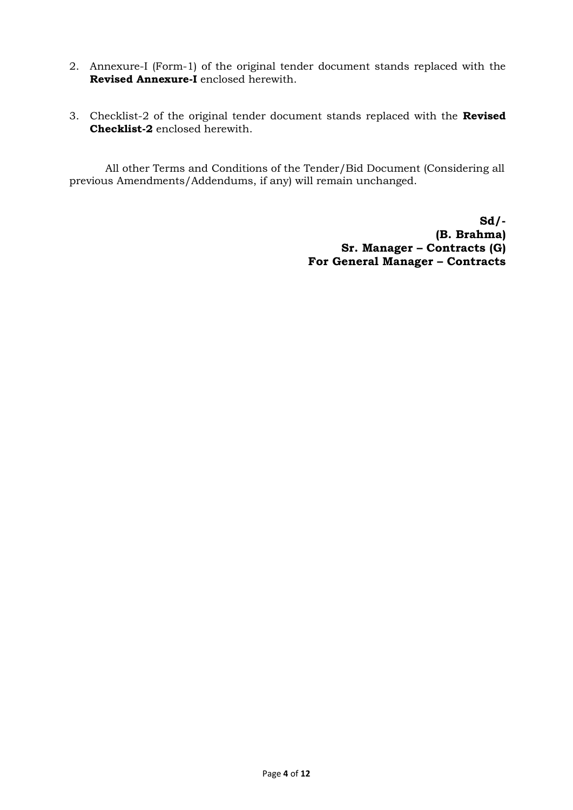- 2. Annexure-I (Form-1) of the original tender document stands replaced with the **Revised Annexure-I** enclosed herewith.
- 3. Checklist-2 of the original tender document stands replaced with the **Revised Checklist-2** enclosed herewith.

All other Terms and Conditions of the Tender/Bid Document (Considering all previous Amendments/Addendums, if any) will remain unchanged.

> **Sd/- (B. Brahma) Sr. Manager – Contracts (G) For General Manager – Contracts**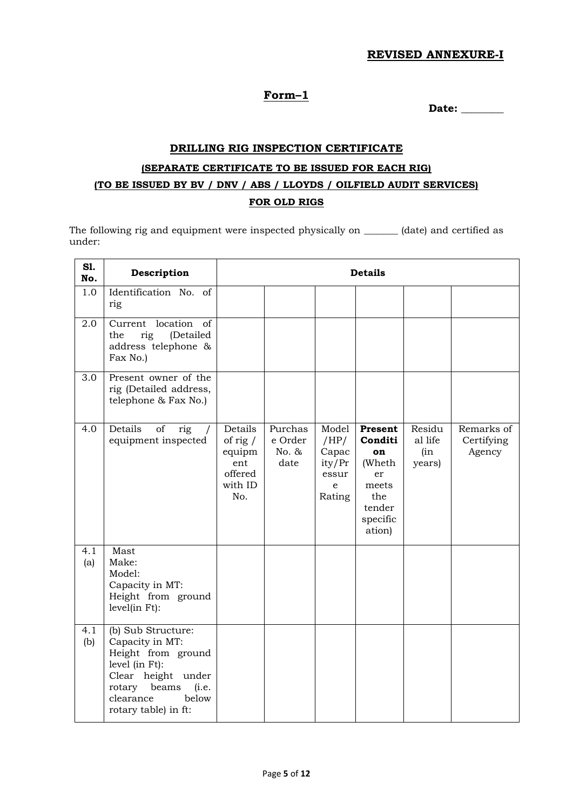#### **REVISED ANNEXURE-I**

# **Form–1**

**Date: \_\_\_\_\_\_\_\_**

# **DRILLING RIG INSPECTION CERTIFICATE (SEPARATE CERTIFICATE TO BE ISSUED FOR EACH RIG) (TO BE ISSUED BY BV / DNV / ABS / LLOYDS / OILFIELD AUDIT SERVICES) FOR OLD RIGS**

The following rig and equipment were inspected physically on \_\_\_\_\_\_\_ (date) and certified as under:

| S1.<br>No. | Description                                                                                                                                                                   | <b>Details</b>                                                      |                                     |                                                          |                                                                                          |                                    |                                    |
|------------|-------------------------------------------------------------------------------------------------------------------------------------------------------------------------------|---------------------------------------------------------------------|-------------------------------------|----------------------------------------------------------|------------------------------------------------------------------------------------------|------------------------------------|------------------------------------|
| 1.0        | Identification No. of<br>rig                                                                                                                                                  |                                                                     |                                     |                                                          |                                                                                          |                                    |                                    |
| 2.0        | Current location of<br>(Detailed<br>the<br>rig<br>address telephone &<br>Fax No.)                                                                                             |                                                                     |                                     |                                                          |                                                                                          |                                    |                                    |
| 3.0        | Present owner of the<br>rig (Detailed address,<br>telephone & Fax No.)                                                                                                        |                                                                     |                                     |                                                          |                                                                                          |                                    |                                    |
| 4.0        | Details<br>$\sigma$<br>rig<br>$\sqrt{2}$<br>equipment inspected                                                                                                               | Details<br>of rig $/$<br>equipm<br>ent<br>offered<br>with ID<br>No. | Purchas<br>e Order<br>No. &<br>date | Model<br>/HP/<br>Capac<br>ity/Pr<br>essur<br>e<br>Rating | Present<br>Conditi<br>on<br>(Wheth<br>er<br>meets<br>the<br>tender<br>specific<br>ation) | Residu<br>al life<br>(in<br>years) | Remarks of<br>Certifying<br>Agency |
| 4.1<br>(a) | Mast<br>Make:<br>Model:<br>Capacity in MT:<br>Height from ground<br>level(in Ft):                                                                                             |                                                                     |                                     |                                                          |                                                                                          |                                    |                                    |
| 4.1<br>(b) | (b) Sub Structure:<br>Capacity in MT:<br>Height from ground<br>level (in Ft):<br>Clear height under<br>rotary<br>beams<br>(i.e.<br>clearance<br>below<br>rotary table) in ft: |                                                                     |                                     |                                                          |                                                                                          |                                    |                                    |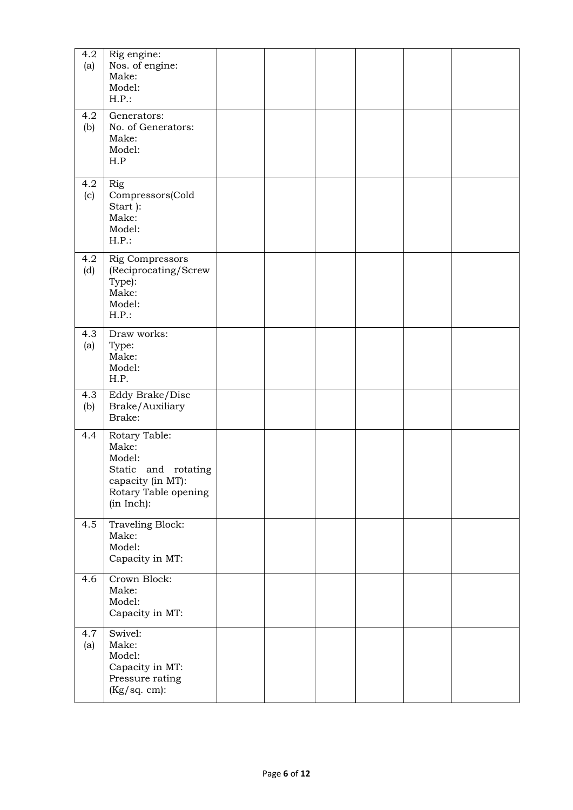| 4.2<br>(a) | Rig engine:<br>Nos. of engine:<br>Make:<br>Model:<br>H.P.:                                                         |  |  |  |
|------------|--------------------------------------------------------------------------------------------------------------------|--|--|--|
| 4.2<br>(b) | Generators:<br>No. of Generators:<br>Make:<br>Model:<br>H.P                                                        |  |  |  |
| 4.2<br>(c) | Rig<br>Compressors(Cold<br>Start):<br>Make:<br>Model:<br>$H.P.$ :                                                  |  |  |  |
| 4.2<br>(d) | <b>Rig Compressors</b><br>(Reciprocating/Screw<br>Type):<br>Make:<br>Model:<br>$H.P.$ :                            |  |  |  |
| 4.3<br>(a) | Draw works:<br>Type:<br>Make:<br>Model:<br>H.P.                                                                    |  |  |  |
| 4.3<br>(b) | Eddy Brake/Disc<br>Brake/Auxiliary<br>Brake:                                                                       |  |  |  |
| 4.4        | Rotary Table:<br>Make:<br>Model:<br>Static and rotating<br>capacity (in MT):<br>Rotary Table opening<br>(in Inch): |  |  |  |
| 4.5        | Traveling Block:<br>Make:<br>Model:<br>Capacity in MT:                                                             |  |  |  |
| 4.6        | Crown Block:<br>Make:<br>Model:<br>Capacity in MT:                                                                 |  |  |  |
| 4.7<br>(a) | Swivel:<br>Make:<br>Model:<br>Capacity in MT:<br>Pressure rating<br>(Kg/sq. cm):                                   |  |  |  |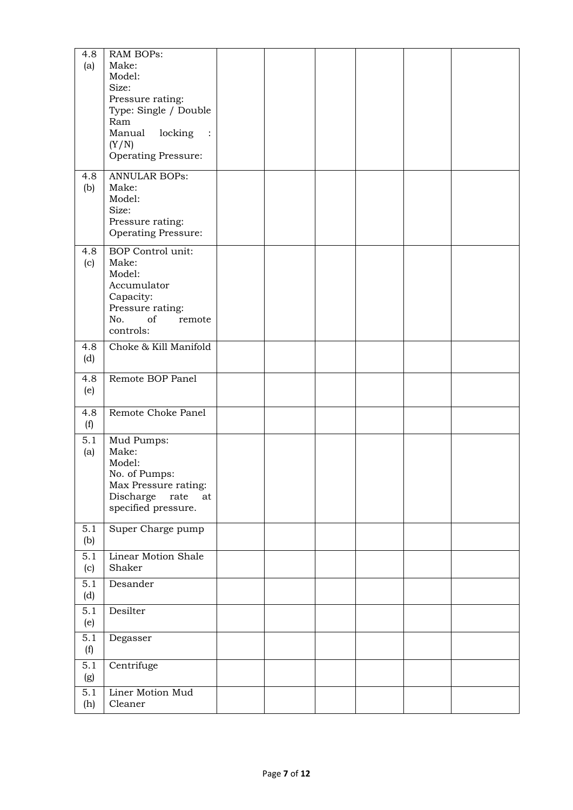| 4.8 | RAM BOPs:                                       |  |  |  |
|-----|-------------------------------------------------|--|--|--|
| (a) | Make:                                           |  |  |  |
|     | Model:                                          |  |  |  |
|     | Size:                                           |  |  |  |
|     | Pressure rating:                                |  |  |  |
|     | Type: Single / Double                           |  |  |  |
|     | Ram<br>Manual                                   |  |  |  |
|     | locking<br>$\ddots$<br>(Y/N)                    |  |  |  |
|     | <b>Operating Pressure:</b>                      |  |  |  |
|     |                                                 |  |  |  |
| 4.8 | <b>ANNULAR BOPs:</b>                            |  |  |  |
| (b) | Make:                                           |  |  |  |
|     | Model:                                          |  |  |  |
|     | Size:                                           |  |  |  |
|     | Pressure rating:                                |  |  |  |
|     | <b>Operating Pressure:</b>                      |  |  |  |
| 4.8 | <b>BOP</b> Control unit:                        |  |  |  |
| (c) | Make:                                           |  |  |  |
|     | Model:                                          |  |  |  |
|     | Accumulator                                     |  |  |  |
|     | Capacity:                                       |  |  |  |
|     | Pressure rating:<br>No.<br>of                   |  |  |  |
|     | remote<br>controls:                             |  |  |  |
|     |                                                 |  |  |  |
| 4.8 | Choke & Kill Manifold                           |  |  |  |
| (d) |                                                 |  |  |  |
| 4.8 | Remote BOP Panel                                |  |  |  |
| (e) |                                                 |  |  |  |
|     |                                                 |  |  |  |
| 4.8 | Remote Choke Panel                              |  |  |  |
| (f) |                                                 |  |  |  |
| 5.1 | Mud Pumps:                                      |  |  |  |
| (a) | Make:                                           |  |  |  |
|     | Model:                                          |  |  |  |
|     | No. of Pumps:                                   |  |  |  |
|     | Max Pressure rating:<br>Discharge<br>rate<br>at |  |  |  |
|     | specified pressure.                             |  |  |  |
|     |                                                 |  |  |  |
| 5.1 | Super Charge pump                               |  |  |  |
| (b) |                                                 |  |  |  |
| 5.1 | Linear Motion Shale                             |  |  |  |
| (c) | Shaker                                          |  |  |  |
| 5.1 | Desander                                        |  |  |  |
| (d) |                                                 |  |  |  |
| 5.1 | Desilter                                        |  |  |  |
| (e) |                                                 |  |  |  |
| 5.1 | Degasser                                        |  |  |  |
| (f) |                                                 |  |  |  |
| 5.1 |                                                 |  |  |  |
| (g) | Centrifuge                                      |  |  |  |
|     |                                                 |  |  |  |
| 5.1 | Liner Motion Mud                                |  |  |  |
| (h) | Cleaner                                         |  |  |  |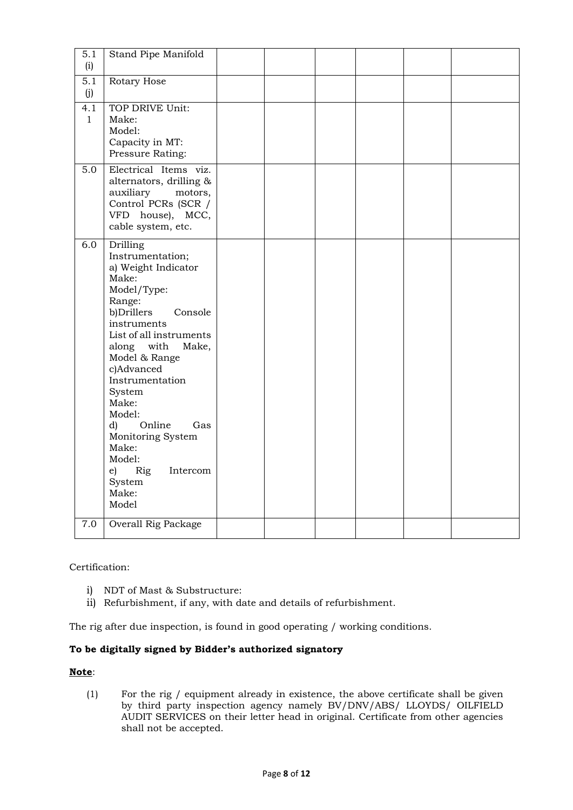| 5.1<br>(i)          | Stand Pipe Manifold                                                                                                                                                                                                                                                                                                                                                                          |  |  |  |
|---------------------|----------------------------------------------------------------------------------------------------------------------------------------------------------------------------------------------------------------------------------------------------------------------------------------------------------------------------------------------------------------------------------------------|--|--|--|
| 5.1<br>(i)          | Rotary Hose                                                                                                                                                                                                                                                                                                                                                                                  |  |  |  |
| 4.1<br>$\mathbf{1}$ | TOP DRIVE Unit:<br>Make:<br>Model:<br>Capacity in MT:<br>Pressure Rating:                                                                                                                                                                                                                                                                                                                    |  |  |  |
| 5.0                 | Electrical Items viz.<br>alternators, drilling &<br>auxiliary<br>motors,<br>Control PCRs (SCR /<br>VFD house), MCC,<br>cable system, etc.                                                                                                                                                                                                                                                    |  |  |  |
| 6.0                 | Drilling<br>Instrumentation;<br>a) Weight Indicator<br>Make:<br>Model/Type:<br>Range:<br>b)Drillers<br>Console<br>instruments<br>List of all instruments<br>along with<br>Make,<br>Model & Range<br>c)Advanced<br>Instrumentation<br>System<br>Make:<br>Model:<br>Online<br>d)<br>Gas<br>Monitoring System<br>Make:<br>Model:<br>Rig<br>Intercom<br>$\epsilon$ )<br>System<br>Make:<br>Model |  |  |  |
| 7.0                 | <b>Overall Rig Package</b>                                                                                                                                                                                                                                                                                                                                                                   |  |  |  |

Certification:

- i) NDT of Mast & Substructure:
- ii) Refurbishment, if any, with date and details of refurbishment.

The rig after due inspection, is found in good operating / working conditions.

# **To be digitally signed by Bidder's authorized signatory**

#### **Note**:

(1) For the rig / equipment already in existence, the above certificate shall be given by third party inspection agency namely BV/DNV/ABS/ LLOYDS/ OILFIELD AUDIT SERVICES on their letter head in original. Certificate from other agencies shall not be accepted.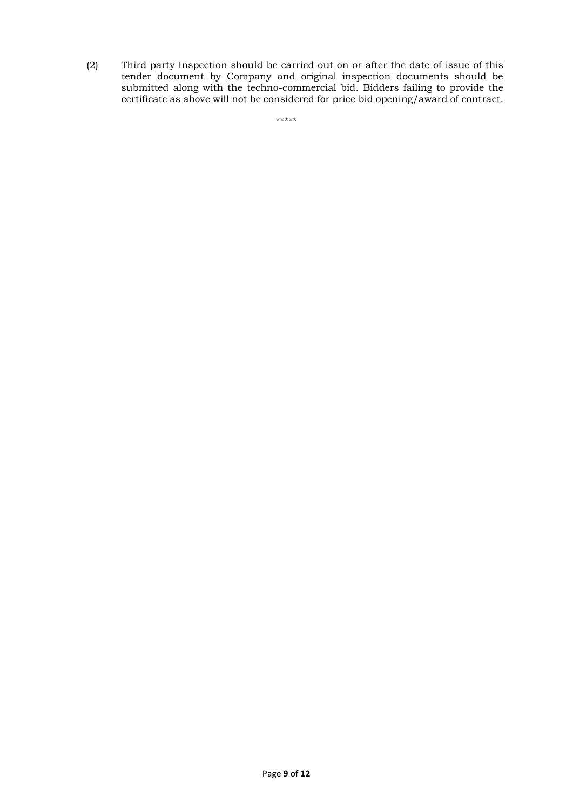(2) Third party Inspection should be carried out on or after the date of issue of this tender document by Company and original inspection documents should be submitted along with the techno-commercial bid. Bidders failing to provide the certificate as above will not be considered for price bid opening/award of contract.

\*\*\*\*\*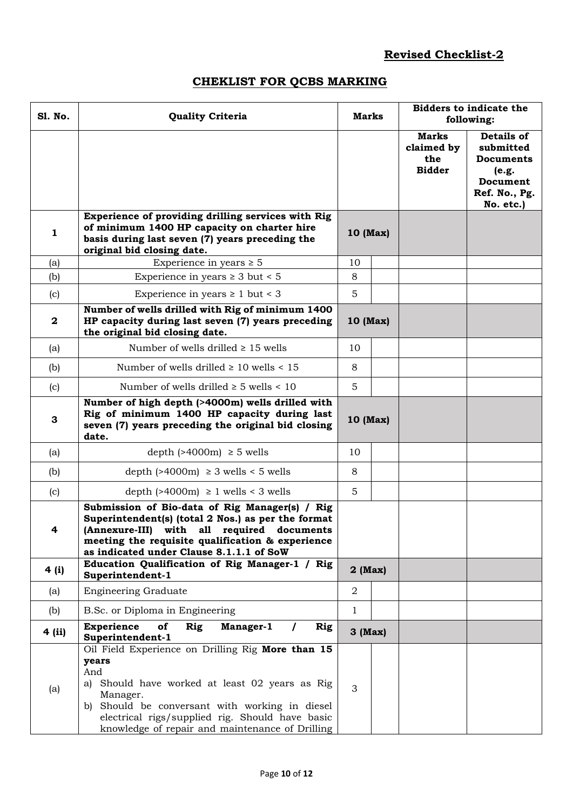# **Revised Checklist-2**

# **CHEKLIST FOR QCBS MARKING**

| S1. No.          | <b>Quality Criteria</b>                                                                                                                                                                                                                                                                 | <b>Marks</b>      |  | <b>Bidders to indicate the</b><br>following:       |                                                                                                |
|------------------|-----------------------------------------------------------------------------------------------------------------------------------------------------------------------------------------------------------------------------------------------------------------------------------------|-------------------|--|----------------------------------------------------|------------------------------------------------------------------------------------------------|
|                  |                                                                                                                                                                                                                                                                                         |                   |  | <b>Marks</b><br>claimed by<br>the<br><b>Bidder</b> | Details of<br>submitted<br><b>Documents</b><br>(e.g.<br>Document<br>Ref. No., Pg.<br>No. etc.) |
| 1                | Experience of providing drilling services with Rig<br>of minimum 1400 HP capacity on charter hire<br>basis during last seven (7) years preceding the<br>original bid closing date.                                                                                                      | 10 (Max)          |  |                                                    |                                                                                                |
| (a)              | Experience in years $\geq 5$                                                                                                                                                                                                                                                            | 10                |  |                                                    |                                                                                                |
| (b)              | Experience in years $\geq 3$ but < 5                                                                                                                                                                                                                                                    | 8                 |  |                                                    |                                                                                                |
| (c)              | Experience in years $\geq 1$ but < 3                                                                                                                                                                                                                                                    | 5                 |  |                                                    |                                                                                                |
| $\boldsymbol{2}$ | Number of wells drilled with Rig of minimum 1400<br>HP capacity during last seven (7) years preceding<br>the original bid closing date.                                                                                                                                                 | 10 (Max)          |  |                                                    |                                                                                                |
| (a)              | Number of wells drilled $\geq 15$ wells                                                                                                                                                                                                                                                 | 10                |  |                                                    |                                                                                                |
| (b)              | Number of wells drilled $\geq 10$ wells < 15                                                                                                                                                                                                                                            | 8                 |  |                                                    |                                                                                                |
| (c)              | Number of wells drilled $\geq 5$ wells < 10                                                                                                                                                                                                                                             | 5                 |  |                                                    |                                                                                                |
| 3                | Number of high depth (>4000m) wells drilled with<br>Rig of minimum 1400 HP capacity during last<br>seven (7) years preceding the original bid closing<br>date.                                                                                                                          | 10 (Max)          |  |                                                    |                                                                                                |
| (a)              | depth $(>4000m) \ge 5$ wells                                                                                                                                                                                                                                                            | 10                |  |                                                    |                                                                                                |
| (b)              | depth $($ >4000m) $\geq$ 3 wells < 5 wells                                                                                                                                                                                                                                              | 8                 |  |                                                    |                                                                                                |
| (c)              | depth $($ >4000m $) \ge 1$ wells < 3 wells                                                                                                                                                                                                                                              | 5                 |  |                                                    |                                                                                                |
| 4                | Submission of Bio-data of Rig Manager(s) / Rig<br>Superintendent(s) (total 2 Nos.) as per the format<br>(Annexure-III) with all required documents<br>meeting the requisite qualification & experience<br>as indicated under Clause 8.1.1.1 of SoW                                      |                   |  |                                                    |                                                                                                |
| 4 (i)            | Education Qualification of Rig Manager-1 / Rig<br>Superintendent-1                                                                                                                                                                                                                      | $2 \text{ (Max)}$ |  |                                                    |                                                                                                |
| (a)              | <b>Engineering Graduate</b>                                                                                                                                                                                                                                                             | $\overline{2}$    |  |                                                    |                                                                                                |
| (b)              | B.Sc. or Diploma in Engineering                                                                                                                                                                                                                                                         | $\mathbf{1}$      |  |                                                    |                                                                                                |
| 4 (ii)           | <b>Experience</b><br>of<br>Rig<br>Manager-1<br>Rig<br>Superintendent-1                                                                                                                                                                                                                  | $3$ (Max)         |  |                                                    |                                                                                                |
| (a)              | Oil Field Experience on Drilling Rig More than 15<br>years<br>And<br>a) Should have worked at least 02 years as Rig<br>Manager.<br>b) Should be conversant with working in diesel<br>electrical rigs/supplied rig. Should have basic<br>knowledge of repair and maintenance of Drilling | 3                 |  |                                                    |                                                                                                |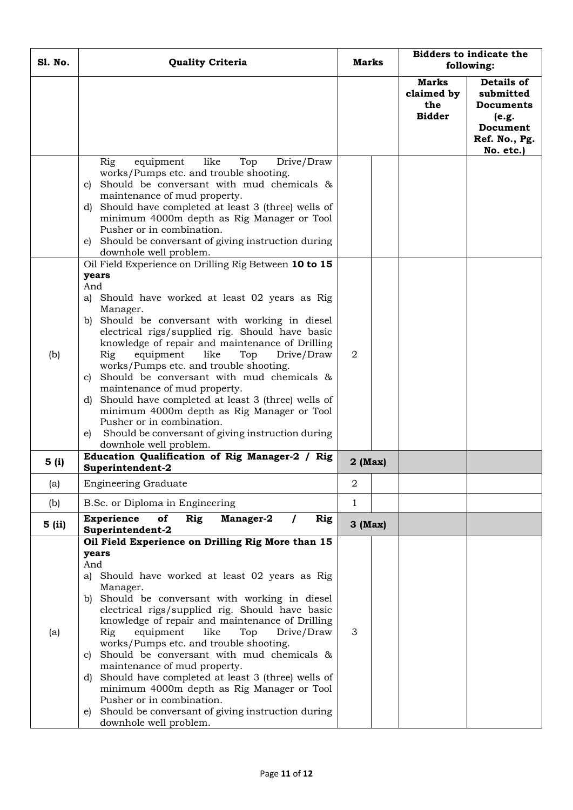| <b>S1. No.</b>       | <b>Quality Criteria</b>                                                                                                                                                                                                                                                                                                                                                                                                                                                                                                                                                                                                                                                                                                 | Marks                     |  | <b>Bidders to indicate the</b><br>following:       |                                                                                                |
|----------------------|-------------------------------------------------------------------------------------------------------------------------------------------------------------------------------------------------------------------------------------------------------------------------------------------------------------------------------------------------------------------------------------------------------------------------------------------------------------------------------------------------------------------------------------------------------------------------------------------------------------------------------------------------------------------------------------------------------------------------|---------------------------|--|----------------------------------------------------|------------------------------------------------------------------------------------------------|
|                      |                                                                                                                                                                                                                                                                                                                                                                                                                                                                                                                                                                                                                                                                                                                         |                           |  | <b>Marks</b><br>claimed by<br>the<br><b>Bidder</b> | Details of<br>submitted<br><b>Documents</b><br>(e.g.<br>Document<br>Ref. No., Pg.<br>No. etc.) |
|                      | Drive/Draw<br>like<br>Rig<br>equipment<br>Top<br>works/Pumps etc. and trouble shooting.<br>Should be conversant with mud chemicals &<br>C)<br>maintenance of mud property.<br>Should have completed at least 3 (three) wells of<br>d)<br>minimum 4000m depth as Rig Manager or Tool<br>Pusher or in combination.<br>Should be conversant of giving instruction during<br>e)<br>downhole well problem.<br>Oil Field Experience on Drilling Rig Between 10 to 15                                                                                                                                                                                                                                                          |                           |  |                                                    |                                                                                                |
| (b)                  | years<br>And<br>Should have worked at least 02 years as Rig<br>a)<br>Manager.<br>b) Should be conversant with working in diesel<br>electrical rigs/supplied rig. Should have basic<br>knowledge of repair and maintenance of Drilling<br>Rig<br>like<br>equipment<br>Top<br>Drive/Draw<br>works/Pumps etc. and trouble shooting.<br>Should be conversant with mud chemicals &<br>C)<br>maintenance of mud property.<br>d) Should have completed at least 3 (three) wells of<br>minimum 4000m depth as Rig Manager or Tool<br>Pusher or in combination.<br>Should be conversant of giving instruction during<br>e)<br>downhole well problem.                                                                             | 2                         |  |                                                    |                                                                                                |
| 5(i)                 | Education Qualification of Rig Manager-2 / Rig<br>Superintendent-2                                                                                                                                                                                                                                                                                                                                                                                                                                                                                                                                                                                                                                                      | $2$ (Max)                 |  |                                                    |                                                                                                |
| (a)                  | <b>Engineering Graduate</b>                                                                                                                                                                                                                                                                                                                                                                                                                                                                                                                                                                                                                                                                                             | 2                         |  |                                                    |                                                                                                |
| (b)<br><b>5</b> (ii) | B.Sc. or Diploma in Engineering<br><b>Experience</b><br>of<br>Rig<br>Rig<br>Manager-2<br>$\prime$                                                                                                                                                                                                                                                                                                                                                                                                                                                                                                                                                                                                                       | $\mathbf{1}$<br>$3$ (Max) |  |                                                    |                                                                                                |
| (a)                  | Superintendent-2<br>Oil Field Experience on Drilling Rig More than 15<br>years<br>And<br>Should have worked at least 02 years as Rig<br>a)<br>Manager.<br>Should be conversant with working in diesel<br>b)<br>electrical rigs/supplied rig. Should have basic<br>knowledge of repair and maintenance of Drilling<br>Rig<br>equipment<br>like<br>Top<br>Drive/Draw<br>works/Pumps etc. and trouble shooting.<br>Should be conversant with mud chemicals &<br>C)<br>maintenance of mud property.<br>d) Should have completed at least 3 (three) wells of<br>minimum 4000m depth as Rig Manager or Tool<br>Pusher or in combination.<br>Should be conversant of giving instruction during<br>e)<br>downhole well problem. | 3                         |  |                                                    |                                                                                                |